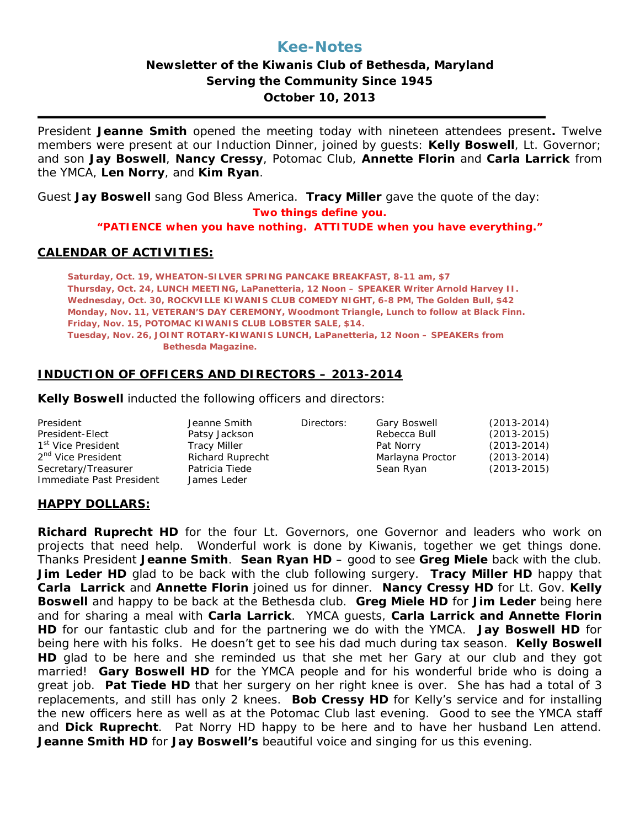# **Kee-Notes**

## **Newsletter of the Kiwanis Club of Bethesda, Maryland Serving the Community Since 1945 October 10, 2013**

President **Jeanne Smith** opened the meeting today with nineteen attendees present**.** Twelve members were present at our Induction Dinner, joined by guests: **Kelly Boswell**, Lt. Governor; and son **Jay Boswell**, **Nancy Cressy**, Potomac Club, **Annette Florin** and **Carla Larrick** from the YMCA, **Len Norry**, and **Kim Ryan**.

Guest **Jay Boswell** sang God Bless America. **Tracy Miller** gave the quote of the day: *Two things define you.*

*"PATIENCE when you have nothing. ATTITUDE when you have everything."*

#### **CALENDAR OF ACTIVITIES:**

**Saturday, Oct. 19, WHEATON-SILVER SPRING PANCAKE BREAKFAST, 8-11 am, \$7 Thursday, Oct. 24, LUNCH MEETING, LaPanetteria, 12 Noon – SPEAKER Writer Arnold Harvey II. Wednesday, Oct. 30, ROCKVILLE KIWANIS CLUB COMEDY NIGHT, 6-8 PM, The Golden Bull, \$42 Monday, Nov. 11, VETERAN'S DAY CEREMONY, Woodmont Triangle, Lunch to follow at Black Finn. Friday, Nov. 15, POTOMAC KIWANIS CLUB LOBSTER SALE, \$14. Tuesday, Nov. 26, JOINT ROTARY-KIWANIS LUNCH, LaPanetteria, 12 Noon – SPEAKERs from Bethesda Magazine.**

### **INDUCTION OF OFFICERS AND DIRECTORS – 2013-2014**

**Kelly Boswell** inducted the following officers and directors:

| President                                       | Jeanne Smith                  | Directors: | <b>Gary Boswell</b> | $(2013 - 2014)$ |
|-------------------------------------------------|-------------------------------|------------|---------------------|-----------------|
| President-Elect                                 | Patsy Jackson                 |            | Rebecca Bull        | $(2013 - 2015)$ |
| 1 <sup>st</sup> Vice President                  | <b>Tracy Miller</b>           |            | Pat Norry           | $(2013 - 2014)$ |
| 2 <sup>nd</sup> Vice President                  | <b>Richard Ruprecht</b>       |            | Marlayna Proctor    | $(2013 - 2014)$ |
| Secretary/Treasurer<br>Immediate Past President | Patricia Tiede<br>James Leder |            | Sean Ryan           | $(2013 - 2015)$ |
|                                                 |                               |            |                     |                 |

#### **HAPPY DOLLARS:**

**Richard Ruprecht HD** for the four Lt. Governors, one Governor and leaders who work on projects that need help. Wonderful work is done by Kiwanis, together we get things done. Thanks President **Jeanne Smith**. **Sean Ryan HD** – good to see **Greg Miele** back with the club. **Jim Leder HD** glad to be back with the club following surgery. **Tracy Miller HD** happy that **Carla Larrick** and **Annette Florin** joined us for dinner. **Nancy Cressy HD** for Lt. Gov. **Kelly Boswell** and happy to be back at the Bethesda club. **Greg Miele HD** for **Jim Leder** being here and for sharing a meal with **Carla Larrick**. YMCA guests, **Carla Larrick and Annette Florin HD** for our fantastic club and for the partnering we do with the YMCA. **Jay Boswell HD** for being here with his folks. He doesn't get to see his dad much during tax season. **Kelly Boswell HD** glad to be here and she reminded us that she met her Gary at our club and they got married! **Gary Boswell HD** for the YMCA people and for his wonderful bride who is doing a great job. **Pat Tiede HD** that her surgery on her right knee is over. She has had a total of 3 replacements, and still has only 2 knees. **Bob Cressy HD** for Kelly's service and for installing the new officers here as well as at the Potomac Club last evening. Good to see the YMCA staff and **Dick Ruprecht**. Pat Norry HD happy to be here and to have her husband Len attend. **Jeanne Smith HD** for **Jay Boswell's** beautiful voice and singing for us this evening.